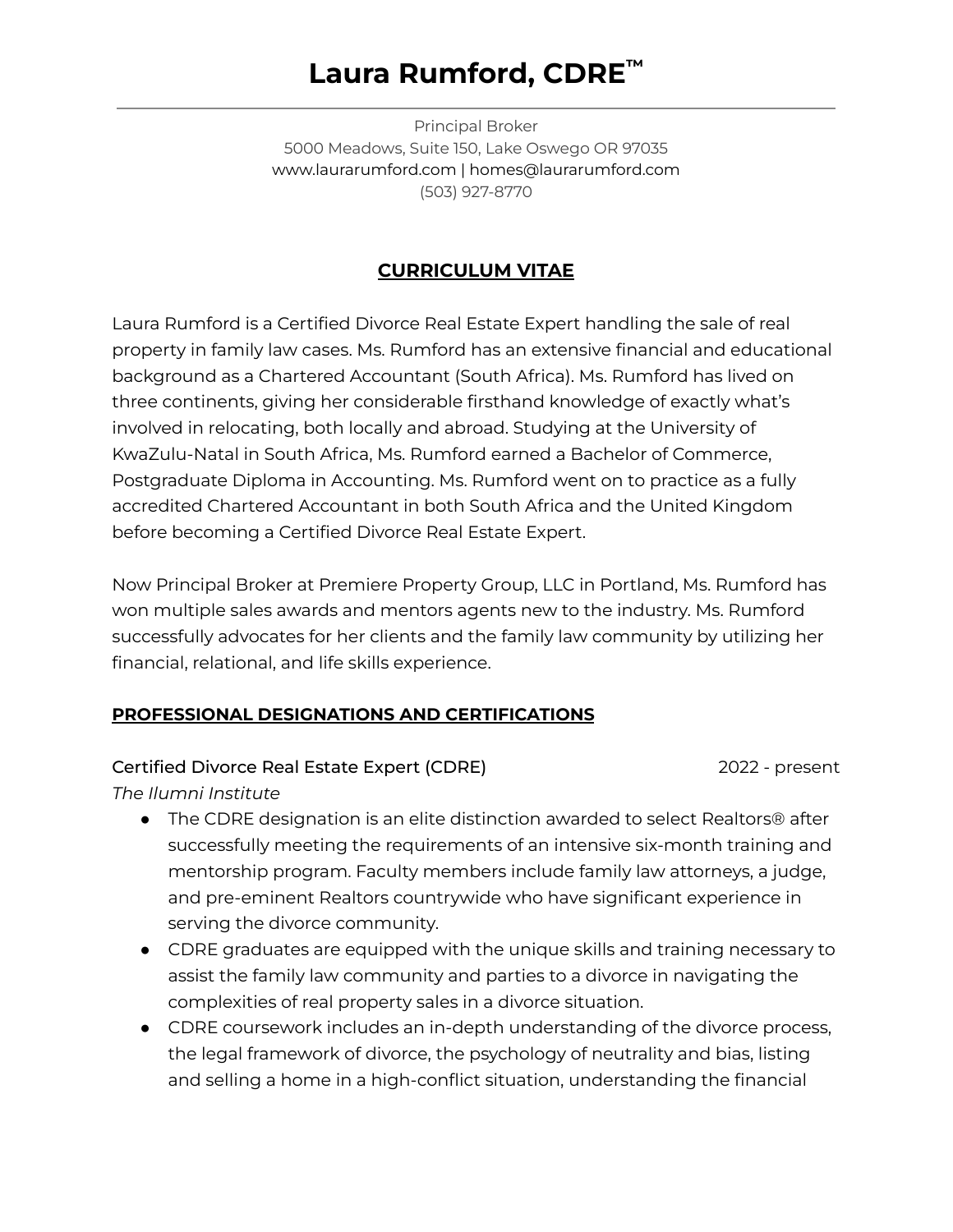# **Laura Rumford, CDRE ™**

Principal Broker 5000 Meadows, Suite 150, Lake Oswego OR 97035 www.laurarumford.com | homes@laurarumford.com (503) 927-8770

## **CURRICULUM VITAE**

Laura Rumford is a Certified Divorce Real Estate Expert handling the sale of real property in family law cases. Ms. Rumford has an extensive financial and educational background as a Chartered Accountant (South Africa). Ms. Rumford has lived on three continents, giving her considerable firsthand knowledge of exactly what's involved in relocating, both locally and abroad. Studying at the University of KwaZulu-Natal in South Africa, Ms. Rumford earned a Bachelor of Commerce, Postgraduate Diploma in Accounting. Ms. Rumford went on to practice as a fully accredited Chartered Accountant in both South Africa and the United Kingdom before becoming a Certified Divorce Real Estate Expert.

Now Principal Broker at Premiere Property Group, LLC in Portland, Ms. Rumford has won multiple sales awards and mentors agents new to the industry. Ms. Rumford successfully advocates for her clients and the family law community by utilizing her financial, relational, and life skills experience.

### **PROFESSIONAL DESIGNATIONS AND CERTIFICATIONS**

#### Certified Divorce Real Estate Expert (CDRE) 2022 - present

*The Ilumni Institute*

- The CDRE designation is an elite distinction awarded to select Realtors<sup>®</sup> after successfully meeting the requirements of an intensive six-month training and mentorship program. Faculty members include family law attorneys, a judge, and pre-eminent Realtors countrywide who have significant experience in serving the divorce community.
- CDRE graduates are equipped with the unique skills and training necessary to assist the family law community and parties to a divorce in navigating the complexities of real property sales in a divorce situation.
- CDRE coursework includes an in-depth understanding of the divorce process, the legal framework of divorce, the psychology of neutrality and bias, listing and selling a home in a high-conflict situation, understanding the financial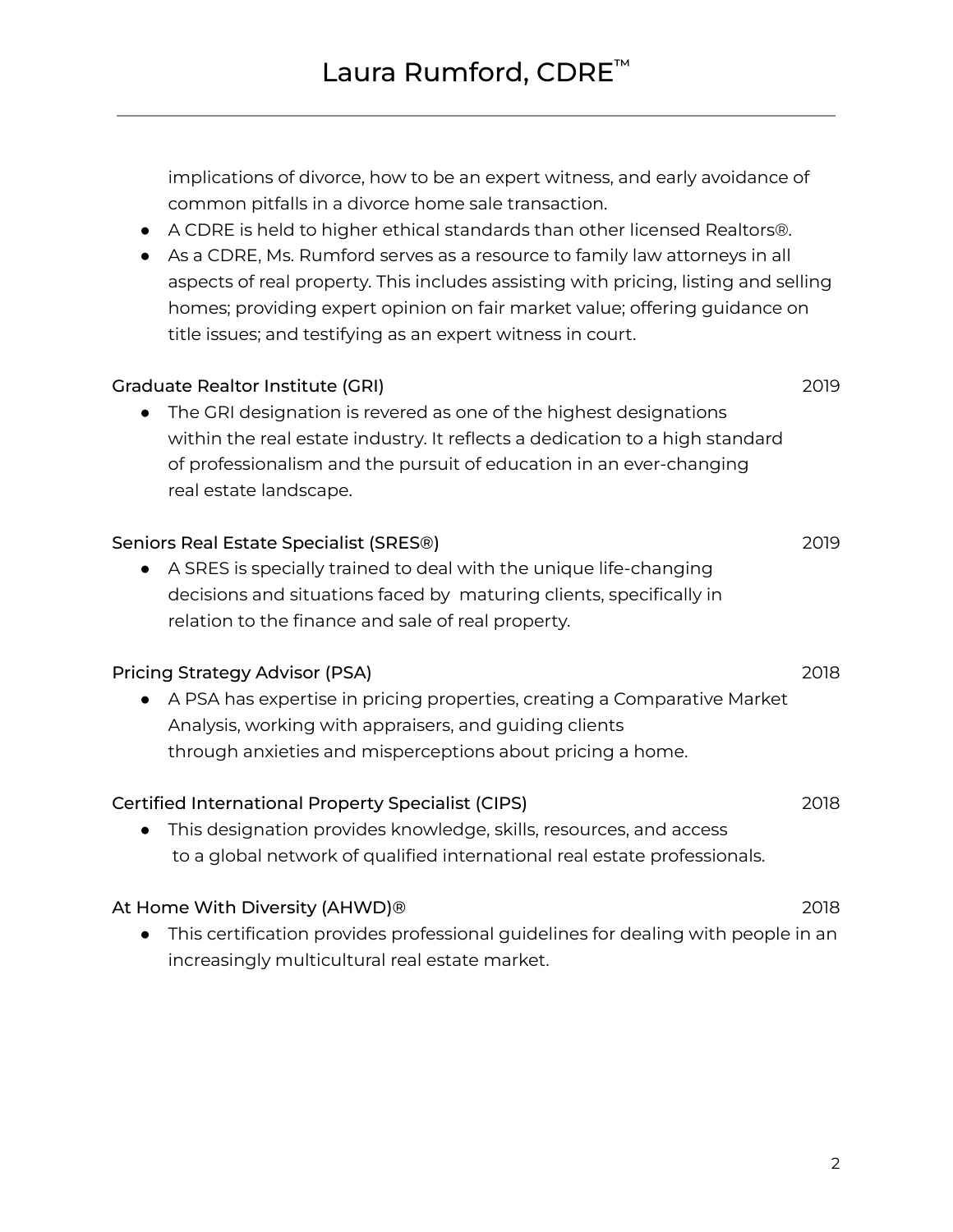implications of divorce, how to be an expert witness, and early avoidance of common pitfalls in a divorce home sale transaction.

- A CDRE is held to higher ethical standards than other licensed Realtors®.
- As a CDRE, Ms. Rumford serves as a resource to family law attorneys in all aspects of real property. This includes assisting with pricing, listing and selling homes; providing expert opinion on fair market value; offering guidance on title issues; and testifying as an expert witness in court.

### Graduate Realtor Institute (GRI) 2019

● The GRI designation is revered as one of the highest designations within the real estate industry. It reflects a dedication to a high standard of professionalism and the pursuit of education in an ever-changing real estate landscape.

### Seniors Real Estate Specialist (SRES®) 2019

● A SRES is specially trained to deal with the unique life-changing decisions and situations faced by maturing clients, specifically in relation to the finance and sale of real property.

### Pricing Strategy Advisor (PSA) 2018

● A PSA has expertise in pricing properties, creating a Comparative Market Analysis, working with appraisers, and guiding clients through anxieties and misperceptions about pricing a home.

## Certified International Property Specialist (CIPS) 2018

● This designation provides knowledge, skills, resources, and access to a global network of qualified international real estate professionals.

### At Home With Diversity (AHWD)® 2018

● This certification provides professional guidelines for dealing with people in an increasingly multicultural real estate market.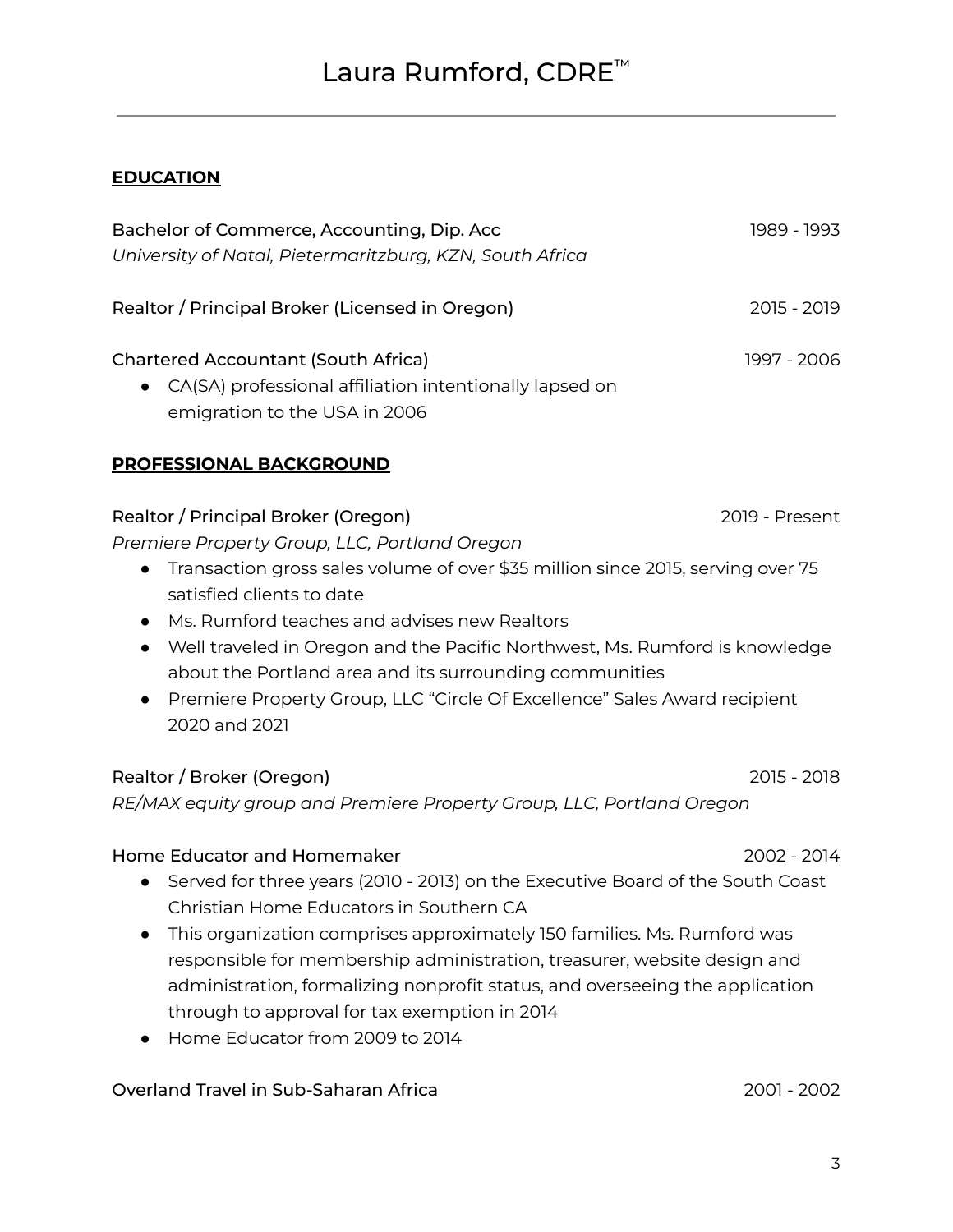## Laura Rumford, CDRE ™

## **EDUCATION**

| Bachelor of Commerce, Accounting, Dip. Acc<br>University of Natal, Pietermaritzburg, KZN, South Africa                                                                                                                                                                                                                                                                                                                                                                                                                 | 1989 - 1993    |
|------------------------------------------------------------------------------------------------------------------------------------------------------------------------------------------------------------------------------------------------------------------------------------------------------------------------------------------------------------------------------------------------------------------------------------------------------------------------------------------------------------------------|----------------|
| Realtor / Principal Broker (Licensed in Oregon)                                                                                                                                                                                                                                                                                                                                                                                                                                                                        | 2015 - 2019    |
| <b>Chartered Accountant (South Africa)</b><br>CA(SA) professional affiliation intentionally lapsed on<br>emigration to the USA in 2006                                                                                                                                                                                                                                                                                                                                                                                 | 1997 - 2006    |
| <b>PROFESSIONAL BACKGROUND</b>                                                                                                                                                                                                                                                                                                                                                                                                                                                                                         |                |
| Realtor / Principal Broker (Oregon)<br>Premiere Property Group, LLC, Portland Oregon<br>Transaction gross sales volume of over \$35 million since 2015, serving over 75<br>satisfied clients to date<br>Ms. Rumford teaches and advises new Realtors<br>$\bullet$<br>Well traveled in Oregon and the Pacific Northwest, Ms. Rumford is knowledge<br>$\bullet$<br>about the Portland area and its surrounding communities<br>Premiere Property Group, LLC "Circle Of Excellence" Sales Award recipient<br>2020 and 2021 | 2019 - Present |
| Realtor / Broker (Oregon)                                                                                                                                                                                                                                                                                                                                                                                                                                                                                              | 2015 - 2018    |
| RE/MAX equity group and Premiere Property Group, LLC, Portland Oregon                                                                                                                                                                                                                                                                                                                                                                                                                                                  |                |
| Home Educator and Homemaker<br>Served for three years (2010 - 2013) on the Executive Board of the South Coast<br>Christian Home Educators in Southern CA<br>This organization comprises approximately 150 families. Ms. Rumford was<br>responsible for membership administration, treasurer, website design and<br>administration, formalizing nonprofit status, and overseeing the application<br>through to approval for tax exemption in 2014                                                                       | 2002 - 2014    |
| Home Educator from 2009 to 2014                                                                                                                                                                                                                                                                                                                                                                                                                                                                                        |                |

## Overland Travel in Sub-Saharan Africa 2001 - 2002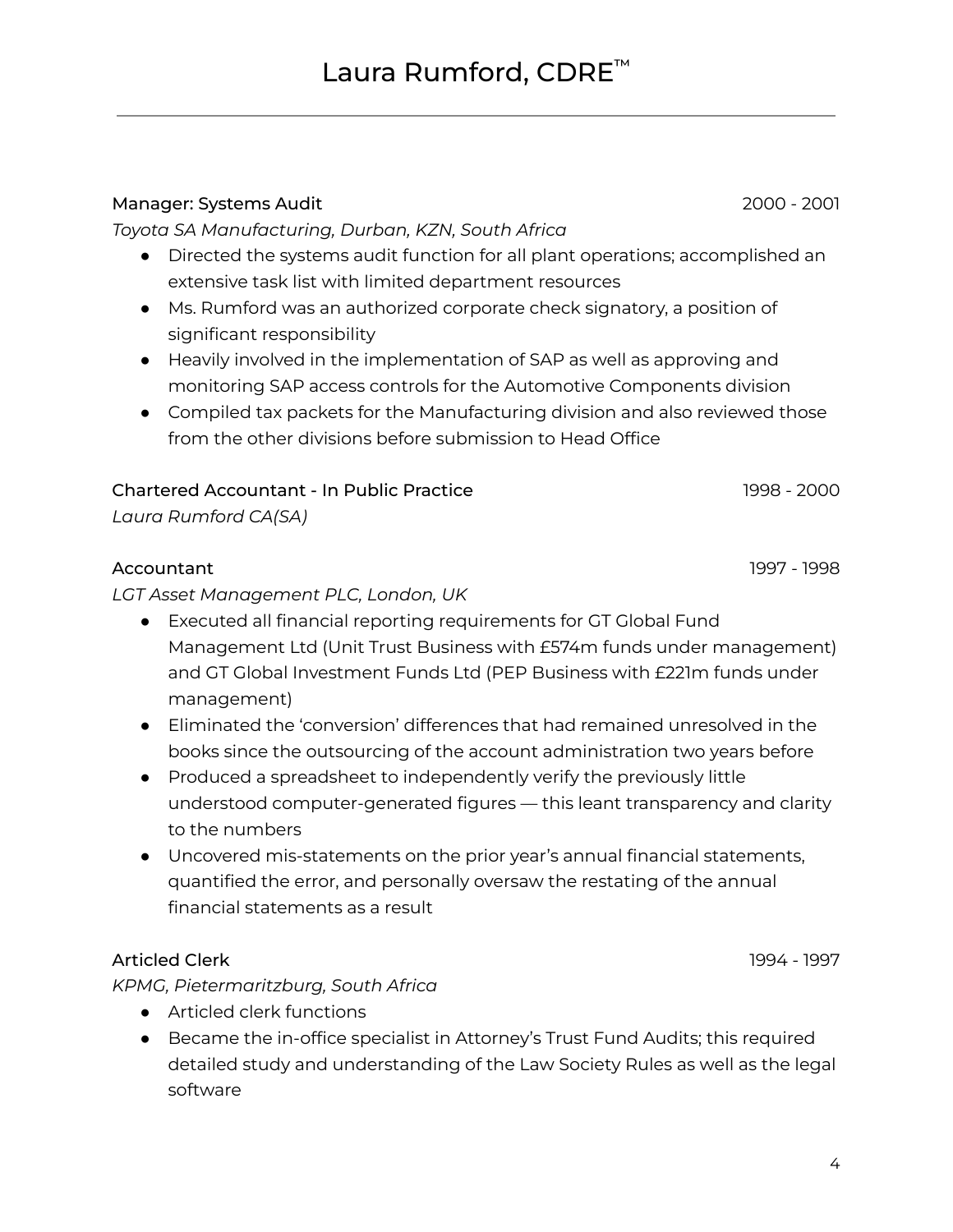## Manager: Systems Audit 2000 - 2001

*Toyota SA Manufacturing, Durban, KZN, South Africa*

- Directed the systems audit function for all plant operations; accomplished an extensive task list with limited department resources
- Ms. Rumford was an authorized corporate check signatory, a position of significant responsibility
- Heavily involved in the implementation of SAP as well as approving and monitoring SAP access controls for the Automotive Components division
- Compiled tax packets for the Manufacturing division and also reviewed those from the other divisions before submission to Head Office

## Chartered Accountant - In Public Practice 1998 - 2000

*Laura Rumford CA(SA)*

## Accountant 1997 - 1998

*LGT Asset Management PLC, London, UK*

- Executed all financial reporting requirements for GT Global Fund Management Ltd (Unit Trust Business with £574m funds under management) and GT Global Investment Funds Ltd (PEP Business with £221m funds under management)
- Eliminated the 'conversion' differences that had remained unresolved in the books since the outsourcing of the account administration two years before
- Produced a spreadsheet to independently verify the previously little understood computer-generated figures — this leant transparency and clarity to the numbers
- Uncovered mis-statements on the prior year's annual financial statements, quantified the error, and personally oversaw the restating of the annual financial statements as a result

## Articled Clerk 1994 - 1997

*KPMG, Pietermaritzburg, South Africa*

- Articled clerk functions
- Became the in-office specialist in Attorney's Trust Fund Audits; this required detailed study and understanding of the Law Society Rules as well as the legal software